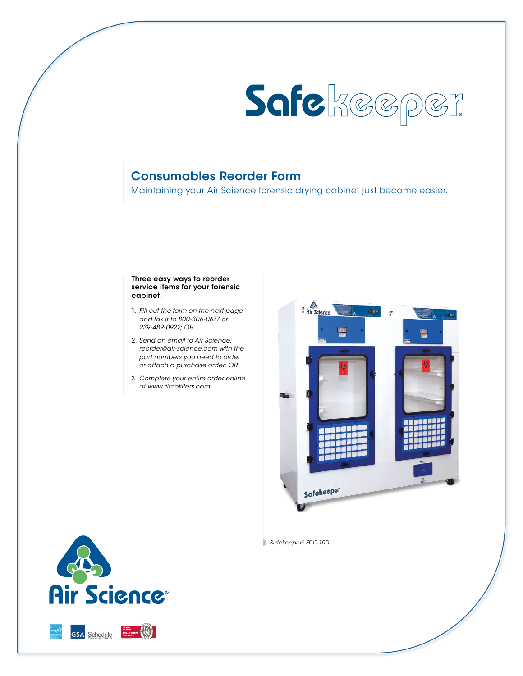

# Consumables Reorder Form

Maintaining your Air Science forensic drying cabinet just became easier.

#### Three easy ways to reorder service items for your forensic cabinet.

- 1. *Fill out the form on the next page and fax it to 800-306-0677 or 239-489-0922; OR*
- 2. *Send an email to Air Science: reorder@air-science.com with the part numbers you need to order or attach a purchase order; OR*
- 3. *Complete your entire order online at www.filtcofilters.com.*



*Safekeeper® FDC-10D*



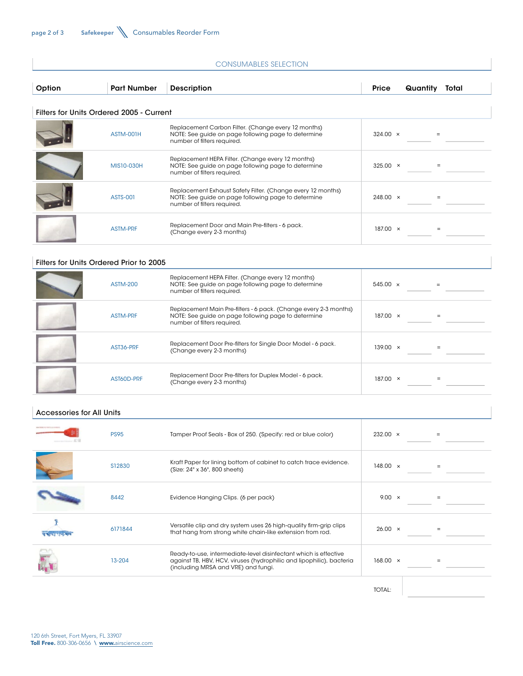| <b>CONSUMABLES SELECTION</b>     |                                          |                                                                                                                                                                                 |                 |                      |  |  |
|----------------------------------|------------------------------------------|---------------------------------------------------------------------------------------------------------------------------------------------------------------------------------|-----------------|----------------------|--|--|
| Option                           | <b>Part Number</b>                       | <b>Description</b>                                                                                                                                                              | Price           | Quantity Total       |  |  |
|                                  | Filters for Units Ordered 2005 - Current |                                                                                                                                                                                 |                 |                      |  |  |
|                                  | ASTM-001H                                | Replacement Carbon Filter. (Change every 12 months)<br>NOTE: See guide on page following page to determine<br>number of filters required.                                       | $324.00 \times$ | $=$                  |  |  |
|                                  | MIS10-030H                               | Replacement HEPA Filter. (Change every 12 months)<br>NOTE: See guide on page following page to determine<br>number of filters required.                                         | $325.00 \times$ | $\qquad \qquad =$    |  |  |
|                                  | <b>ASTS-001</b>                          | Replacement Exhaust Safety Filter. (Change every 12 months)<br>NOTE: See guide on page following page to determine<br>number of filters required.                               | $248.00 \times$ | $=$                  |  |  |
|                                  | ASTM-PRF                                 | Replacement Door and Main Pre-filters - 6 pack.<br>(Change every 2-3 months)                                                                                                    | $187.00 \times$ | $\equiv$             |  |  |
|                                  | Filters for Units Ordered Prior to 2005  |                                                                                                                                                                                 |                 |                      |  |  |
|                                  | <b>ASTM-200</b>                          | Replacement HEPA Filter. (Change every 12 months)<br>NOTE: See guide on page following page to determine<br>number of filters required.                                         | $545.00 \times$ | $=$                  |  |  |
|                                  | ASTM-PRF                                 | Replacement Main Pre-filters - 6 pack. (Change every 2-3 months)<br>NOTE: See guide on page following page to determine<br>number of filters required.                          | $187.00 \times$ | $\qquad \qquad =$    |  |  |
|                                  | AST36-PRF                                | Replacement Door Pre-filters for Single Door Model - 6 pack.<br>(Change every 2-3 months)                                                                                       | $139.00 \times$ | $\quad \  \, =\quad$ |  |  |
|                                  | AST60D-PRF                               | Replacement Door Pre-filters for Duplex Model - 6 pack.<br>(Change every 2-3 months)                                                                                            | $187.00 \times$ | $\equiv$             |  |  |
| <b>Accessories for All Units</b> |                                          |                                                                                                                                                                                 |                 |                      |  |  |
| $-51$                            | <b>PS95</b>                              | Tamper Proof Seals - Box of 250. (Specify: red or blue color)                                                                                                                   | $232.00 \times$ | $=$                  |  |  |
|                                  | S12830                                   | Kraft Paper for lining bottom of cabinet to catch trace evidence.<br>(Size: 24" x 36", 800 sheets)                                                                              | 148.00 $\times$ | $\qquad \qquad =$    |  |  |
|                                  | 8442                                     | Evidence Hanging Clips. (6 per pack)                                                                                                                                            | 9.00 $\times$   | $\quad \  \, =\quad$ |  |  |
|                                  | 6171844                                  | Versatile clip and dry system uses 26 high-quality firm-grip clips<br>that hang from strong white chain-like extension from rod.                                                | $26.00 \times$  | $=$                  |  |  |
|                                  | 13-204                                   | Ready-to-use, intermediate-level disinfectant which is effective<br>against TB, HBV, HCV, viruses (hydrophilic and lipophilic), bacteria<br>(including MRSA and VRE) and fungi. | $168.00 \times$ |                      |  |  |
|                                  |                                          |                                                                                                                                                                                 | TOTAL:          |                      |  |  |